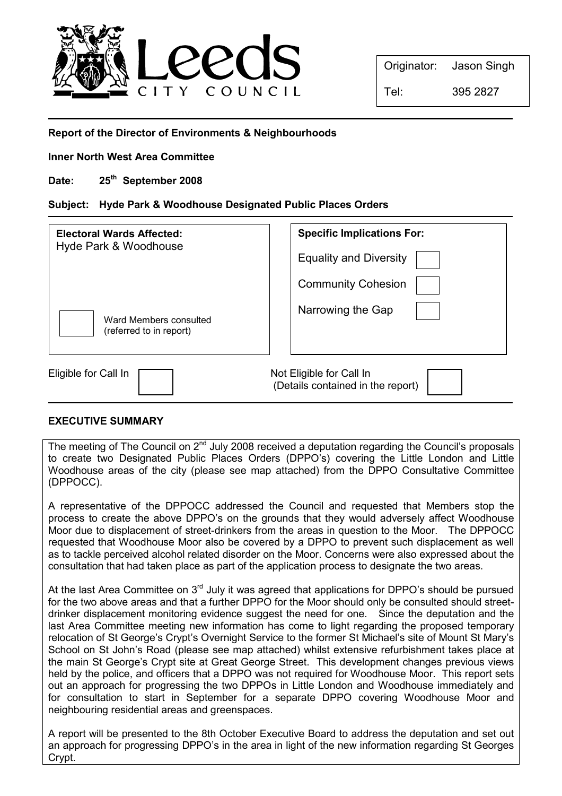

Originator: Jason Singh

# Report of the Director of Environments & Neighbourhoods

Inner North West Area Committee

Date: 25<sup>th</sup> September 2008

## Subject: Hyde Park & Woodhouse Designated Public Places Orders

| <b>Electoral Wards Affected:</b><br>Hyde Park & Woodhouse | <b>Specific Implications For:</b><br><b>Equality and Diversity</b><br><b>Community Cohesion</b> |
|-----------------------------------------------------------|-------------------------------------------------------------------------------------------------|
| Ward Members consulted<br>(referred to in report)         | Narrowing the Gap                                                                               |
| Eligible for Call In                                      | Not Eligible for Call In<br>(Details contained in the report)                                   |

## EXECUTIVE SUMMARY

The meeting of The Council on 2<sup>nd</sup> July 2008 received a deputation regarding the Council's proposals to create two Designated Public Places Orders (DPPO's) covering the Little London and Little Woodhouse areas of the city (please see map attached) from the DPPO Consultative Committee (DPPOCC).

A representative of the DPPOCC addressed the Council and requested that Members stop the process to create the above DPPO's on the grounds that they would adversely affect Woodhouse Moor due to displacement of street-drinkers from the areas in question to the Moor. The DPPOCC requested that Woodhouse Moor also be covered by a DPPO to prevent such displacement as well as to tackle perceived alcohol related disorder on the Moor. Concerns were also expressed about the consultation that had taken place as part of the application process to designate the two areas.

At the last Area Committee on  $3<sup>rd</sup>$  July it was agreed that applications for DPPO's should be pursued for the two above areas and that a further DPPO for the Moor should only be consulted should streetdrinker displacement monitoring evidence suggest the need for one. Since the deputation and the last Area Committee meeting new information has come to light regarding the proposed temporary relocation of St George's Crypt's Overnight Service to the former St Michael's site of Mount St Mary's School on St John's Road (please see map attached) whilst extensive refurbishment takes place at the main St George's Crypt site at Great George Street. This development changes previous views held by the police, and officers that a DPPO was not required for Woodhouse Moor. This report sets out an approach for progressing the two DPPOs in Little London and Woodhouse immediately and for consultation to start in September for a separate DPPO covering Woodhouse Moor and neighbouring residential areas and greenspaces.

A report will be presented to the 8th October Executive Board to address the deputation and set out an approach for progressing DPPO's in the area in light of the new information regarding St Georges Crypt.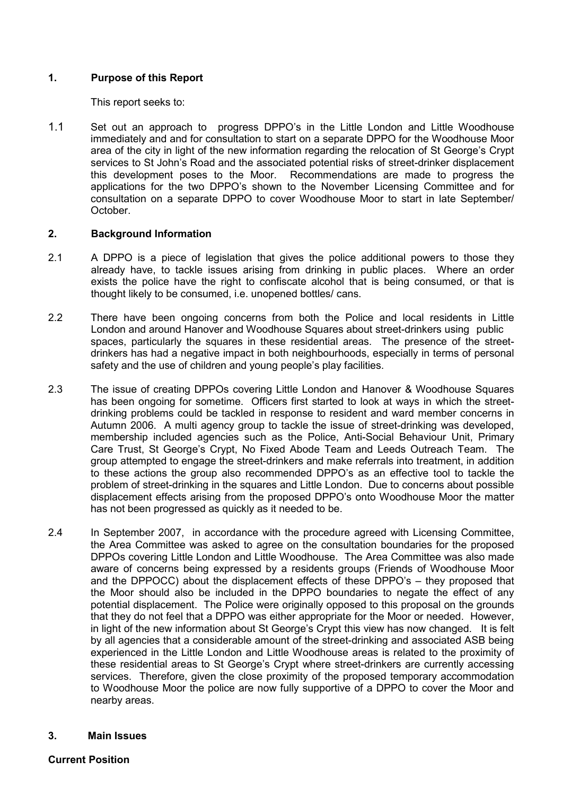# 1. Purpose of this Report

This report seeks to:

1.1 Set out an approach to progress DPPO's in the Little London and Little Woodhouse immediately and and for consultation to start on a separate DPPO for the Woodhouse Moor area of the city in light of the new information regarding the relocation of St George's Crypt services to St John's Road and the associated potential risks of street-drinker displacement this development poses to the Moor. Recommendations are made to progress the applications for the two DPPO's shown to the November Licensing Committee and for consultation on a separate DPPO to cover Woodhouse Moor to start in late September/ October.

## 2. Background Information

- 2.1 A DPPO is a piece of legislation that gives the police additional powers to those they already have, to tackle issues arising from drinking in public places. Where an order exists the police have the right to confiscate alcohol that is being consumed, or that is thought likely to be consumed, i.e. unopened bottles/ cans.
- 2.2 There have been ongoing concerns from both the Police and local residents in Little London and around Hanover and Woodhouse Squares about street-drinkers using public spaces, particularly the squares in these residential areas. The presence of the streetdrinkers has had a negative impact in both neighbourhoods, especially in terms of personal safety and the use of children and young people's play facilities.
- 2.3 The issue of creating DPPOs covering Little London and Hanover & Woodhouse Squares has been ongoing for sometime. Officers first started to look at ways in which the streetdrinking problems could be tackled in response to resident and ward member concerns in Autumn 2006. A multi agency group to tackle the issue of street-drinking was developed, membership included agencies such as the Police, Anti-Social Behaviour Unit, Primary Care Trust, St George's Crypt, No Fixed Abode Team and Leeds Outreach Team. The group attempted to engage the street-drinkers and make referrals into treatment, in addition to these actions the group also recommended DPPO's as an effective tool to tackle the problem of street-drinking in the squares and Little London. Due to concerns about possible displacement effects arising from the proposed DPPO's onto Woodhouse Moor the matter has not been progressed as quickly as it needed to be.
- 2.4 In September 2007, in accordance with the procedure agreed with Licensing Committee, the Area Committee was asked to agree on the consultation boundaries for the proposed DPPOs covering Little London and Little Woodhouse. The Area Committee was also made aware of concerns being expressed by a residents groups (Friends of Woodhouse Moor and the DPPOCC) about the displacement effects of these DPPO's – they proposed that the Moor should also be included in the DPPO boundaries to negate the effect of any potential displacement. The Police were originally opposed to this proposal on the grounds that they do not feel that a DPPO was either appropriate for the Moor or needed. However, in light of the new information about St George's Crypt this view has now changed. It is felt by all agencies that a considerable amount of the street-drinking and associated ASB being experienced in the Little London and Little Woodhouse areas is related to the proximity of these residential areas to St George's Crypt where street-drinkers are currently accessing services. Therefore, given the close proximity of the proposed temporary accommodation to Woodhouse Moor the police are now fully supportive of a DPPO to cover the Moor and nearby areas.

## 3. Main Issues

## Current Position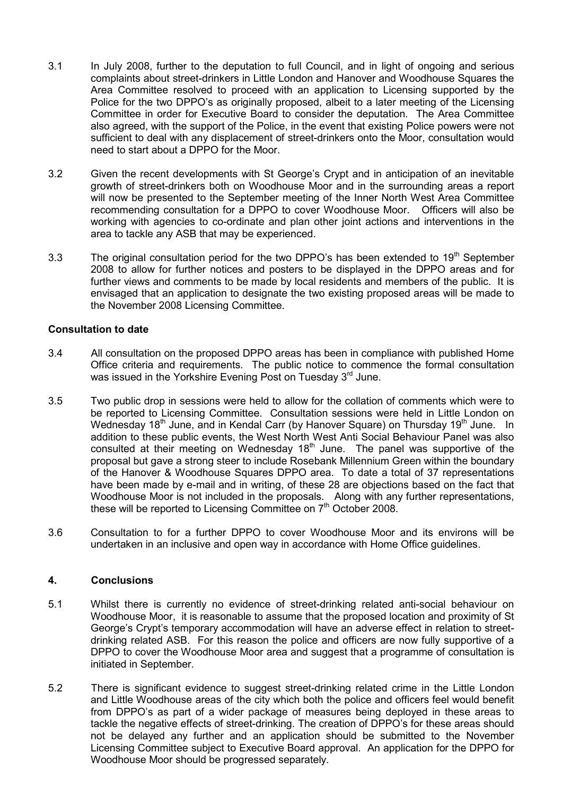- 3.1 In July 2008, further to the deputation to full Council, and in light of ongoing and serious complaints about street-drinkers in Little London and Hanover and Woodhouse Squares the Area Committee resolved to proceed with an application to Licensing supported by the Police for the two DPPO's as originally proposed, albeit to a later meeting of the Licensing Committee in order for Executive Board to consider the deputation. The Area Committee also agreed, with the support of the Police, in the event that existing Police powers were not sufficient to deal with any displacement of street-drinkers onto the Moor, consultation would need to start about a DPPO for the Moor.
- 3.2 Given the recent developments with St George's Crypt and in anticipation of an inevitable growth of street-drinkers both on Woodhouse Moor and in the surrounding areas a report will now be presented to the September meeting of the Inner North West Area Committee recommending consultation for a DPPO to cover Woodhouse Moor. Officers will also be working with agencies to co-ordinate and plan other joint actions and interventions in the area to tackle any ASB that may be experienced.
- 3.3 The original consultation period for the two DPPO's has been extended to  $19<sup>th</sup>$  September 2008 to allow for further notices and posters to be displayed in the DPPO areas and for further views and comments to be made by local residents and members of the public. It is envisaged that an application to designate the two existing proposed areas will be made to the November 2008 Licensing Committee.

## Consultation to date

- 3.4 All consultation on the proposed DPPO areas has been in compliance with published Home Office criteria and requirements. The public notice to commence the formal consultation was issued in the Yorkshire Evening Post on Tuesday 3<sup>rd</sup> June.
- 3.5 Two public drop in sessions were held to allow for the collation of comments which were to be reported to Licensing Committee. Consultation sessions were held in Little London on Wednesday 18<sup>th</sup> June, and in Kendal Carr (by Hanover Square) on Thursday 19<sup>th</sup> June. In addition to these public events, the West North West Anti Social Behaviour Panel was also consulted at their meeting on Wednesday  $18<sup>th</sup>$  June. The panel was supportive of the proposal but gave a strong steer to include Rosebank Millennium Green within the boundary of the Hanover & Woodhouse Squares DPPO area. To date a total of 37 representations have been made by e-mail and in writing, of these 28 are objections based on the fact that Woodhouse Moor is not included in the proposals. Along with any further representations, these will be reported to Licensing Committee on 7<sup>th</sup> October 2008.
- 3.6 Consultation to for a further DPPO to cover Woodhouse Moor and its environs will be undertaken in an inclusive and open way in accordance with Home Office guidelines.

## 4. Conclusions

- 5.1 Whilst there is currently no evidence of street-drinking related anti-social behaviour on Woodhouse Moor, it is reasonable to assume that the proposed location and proximity of St George's Crypt's temporary accommodation will have an adverse effect in relation to streetdrinking related ASB. For this reason the police and officers are now fully supportive of a DPPO to cover the Woodhouse Moor area and suggest that a programme of consultation is initiated in September.
- 5.2 There is significant evidence to suggest street-drinking related crime in the Little London and Little Woodhouse areas of the city which both the police and officers feel would benefit from DPPO's as part of a wider package of measures being deployed in these areas to tackle the negative effects of street-drinking. The creation of DPPO's for these areas should not be delayed any further and an application should be submitted to the November Licensing Committee subject to Executive Board approval. An application for the DPPO for Woodhouse Moor should be progressed separately.